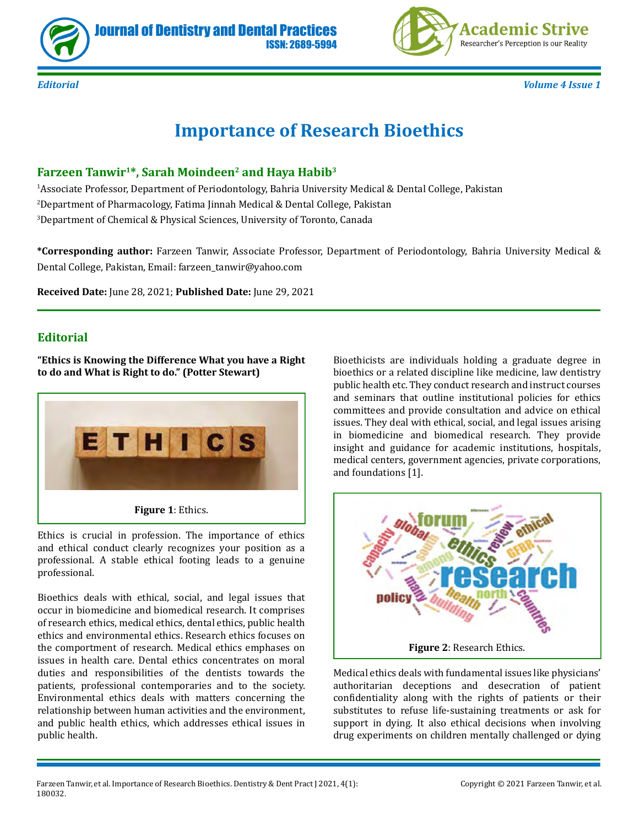



*Editorial Volume 4 Issue 1*

# **Importance of Research Bioethics**

ISSN: 2689-5994

### Farzeen Tanwir<sup>1\*</sup>, Sarah Moindeen<sup>2</sup> and Haya Habib<sup>3</sup>

1 Associate Professor, Department of Periodontology, Bahria University Medical & Dental College, Pakistan 2 Department of Pharmacology, Fatima Jinnah Medical & Dental College, Pakistan 3 Department of Chemical & Physical Sciences, University of Toronto, Canada

**\*Corresponding author:** Farzeen Tanwir, Associate Professor, Department of Periodontology, Bahria University Medical & Dental College, Pakistan, Email: farzeen\_tanwir@yahoo.com

**Received Date:** June 28, 2021; **Published Date:** June 29, 2021

#### **Editorial**

**"Ethics is Knowing the Difference What you have a Right to do and What is Right to do." (Potter Stewart)**



**Figure 1**: Ethics.

Ethics is crucial in profession. The importance of ethics and ethical conduct clearly recognizes your position as a professional. A stable ethical footing leads to a genuine professional.

Bioethics deals with ethical, social, and legal issues that occur in biomedicine and biomedical research. It comprises of research ethics, medical ethics, dental ethics, public health ethics and environmental ethics. Research ethics focuses on the comportment of research. Medical ethics emphases on issues in health care. Dental ethics concentrates on moral duties and responsibilities of the dentists towards the patients, professional contemporaries and to the society. Environmental ethics deals with matters concerning the relationship between human activities and the environment, and public health ethics, which addresses ethical issues in public health.

Bioethicists are individuals holding a graduate degree in bioethics or a related discipline like medicine, law dentistry public health etc. They conduct research and instruct courses and seminars that outline institutional policies for ethics committees and provide consultation and advice on ethical issues. They deal with ethical, social, and legal issues arising in biomedicine and biomedical research. They provide insight and guidance for academic institutions, hospitals, medical centers, government agencies, private corporations, and foundations [1].



Medical ethics deals with fundamental issues like physicians' authoritarian deceptions and desecration of patient confidentiality along with the rights of patients or their substitutes to refuse life-sustaining treatments or ask for support in dying. It also ethical decisions when involving drug experiments on children mentally challenged or dying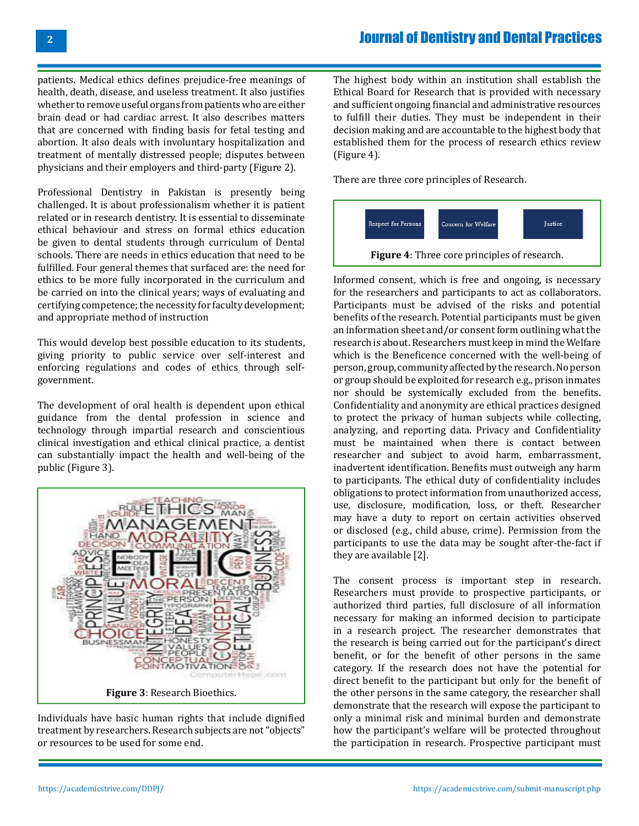### Journal of Dentistry and Dental Practices

patients. Medical ethics defines prejudice-free meanings of health, death, disease, and useless treatment. It also justifies whether to remove useful organs from patients who are either brain dead or had cardiac arrest. It also describes matters that are concerned with finding basis for fetal testing and abortion. It also deals with involuntary hospitalization and treatment of mentally distressed people; disputes between physicians and their employers and third-party (Figure 2).

Professional Dentistry in Pakistan is presently being challenged. It is about professionalism whether it is patient related or in research dentistry. It is essential to disseminate ethical behaviour and stress on formal ethics education be given to dental students through curriculum of Dental schools. There are needs in ethics education that need to be fulfilled. Four general themes that surfaced are: the need for ethics to be more fully incorporated in the curriculum and be carried on into the clinical years; ways of evaluating and certifying competence; the necessity for faculty development; and appropriate method of instruction

This would develop best possible education to its students, giving priority to public service over self-interest and enforcing regulations and codes of ethics through selfgovernment.

The development of oral health is dependent upon ethical guidance from the dental profession in science and technology through impartial research and conscientious clinical investigation and ethical clinical practice, a dentist can substantially impact the health and well-being of the public (Figure 3).



Individuals have basic human rights that include dignified treatment by researchers. Research subjects are not "objects" or resources to be used for some end.

The highest body within an institution shall establish the Ethical Board for Research that is provided with necessary and sufficient ongoing financial and administrative resources to fulfill their duties. They must be independent in their decision making and are accountable to the highest body that established them for the process of research ethics review (Figure 4).

There are three core principles of Research.



Informed consent, which is free and ongoing, is necessary for the researchers and participants to act as collaborators. Participants must be advised of the risks and potential benefits of the research. Potential participants must be given an information sheet and/or consent form outlining what the research is about. Researchers must keep in mind the Welfare which is the Beneficence concerned with the well-being of person, group, community affected by the research. No person or group should be exploited for research e.g., prison inmates nor should be systemically excluded from the benefits. Confidentiality and anonymity are ethical practices designed to protect the privacy of human subjects while collecting, analyzing, and reporting data. Privacy and Confidentiality must be maintained when there is contact between researcher and subject to avoid harm, embarrassment, inadvertent identification. Benefits must outweigh any harm to participants. The ethical duty of confidentiality includes obligations to protect information from unauthorized access, use, disclosure, modification, loss, or theft. Researcher may have a duty to report on certain activities observed or disclosed (e.g., child abuse, crime). Permission from the participants to use the data may be sought after-the-fact if they are available [2].

The consent process is important step in research. Researchers must provide to prospective participants, or authorized third parties, full disclosure of all information necessary for making an informed decision to participate in a research project. The researcher demonstrates that the research is being carried out for the participant's direct benefit, or for the benefit of other persons in the same category. If the research does not have the potential for direct benefit to the participant but only for the benefit of the other persons in the same category, the researcher shall demonstrate that the research will expose the participant to only a minimal risk and minimal burden and demonstrate how the participant's welfare will be protected throughout the participation in research. Prospective participant must